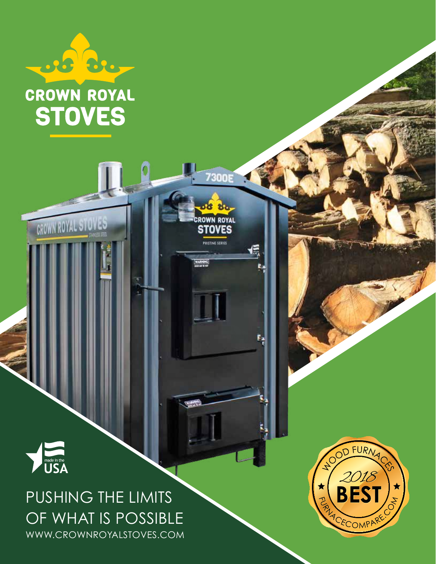

## PUSHING THE LIMITS OF WHAT IS POSSIBLE WWW.CROWNROYALSTOVES.COM

25 Br.

**CROWN ROYAL** 

**STOVES** 

**CROWN ROYAL STOVES** 

**7300E** 

se su

CROWN ROYAL<br>**STOVES** 

PRISTINE SERIES

信

ţ.

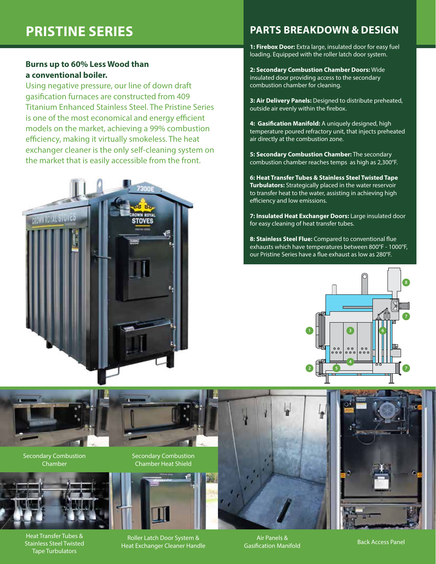#### **Burns up to 60% Less Wood than a conventional boiler.**

Using negative pressure, our line of down draft gasification furnaces are constructed from 409 Titanium Enhanced Stainless Steel. The Pristine Series is one of the most economical and energy efficient models on the market, achieving a 99% combustion efficiency, making it virtually smokeless. The heat exchanger cleaner is the only self-cleaning system on the market that is easily accessible from the front.



### **PRISTINE SERIES PARTS BREAKDOWN & DESIGN**

**1: Firebox Door:** Extra large, insulated door for easy fuel loading. Equipped with the roller latch door system.

**2: Secondary Combustion Chamber Doors:** Wide insulated door providing access to the secondary combustion chamber for cleaning.

**3: Air Delivery Panels:** Designed to distribute preheated, outside air evenly within the firebox.

**4: Gasification Manifold:** A uniquely designed, high temperature poured refractory unit, that injects preheated air directly at the combustion zone.

**5: Secondary Combustion Chamber:** The secondary combustion chamber reaches temps as high as 2,300°F.

**6: Heat Transfer Tubes & Stainless Steel Twisted Tape Turbulators:** Strategically placed in the water reservoir to transfer heat to the water, assisting in achieving high efficiency and low emissions.

**7: Insulated Heat Exchanger Doors:** Large insulated door for easy cleaning of heat transfer tubes.

**8: Stainless Steel Flue:** Compared to conventional flue exhausts which have temperatures between 800°F - 1000°F, our Pristine Series have a flue exhaust as low as 280°F.





Secondary Combustion Chamber



Heat Transfer Tubes & Stainless Steel Twisted Tape Turbulators

Secondary Combustion Chamber Heat Shield



Roller Latch Door System & Heat Exchanger Cleaner Handle

Air Panels & All Fariels & **Back Access Panel**<br>Gasification Manifold Back Access Panel

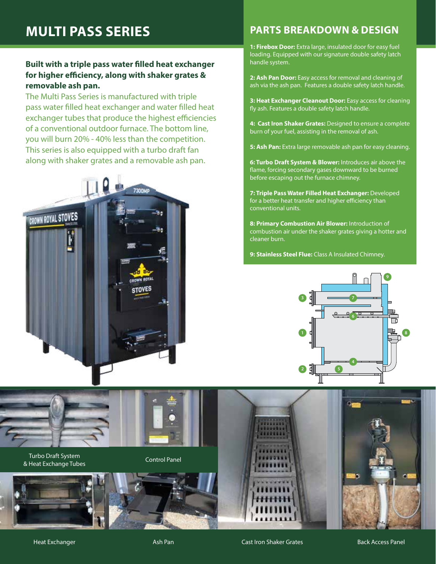### **Built with a triple pass water filled heat exchanger for higher efficiency, along with shaker grates & removable ash pan.**

The Multi Pass Series is manufactured with triple pass water filled heat exchanger and water filled heat exchanger tubes that produce the highest efficiencies of a conventional outdoor furnace. The bottom line, you will burn 20% - 40% less than the competition. This series is also equipped with a turbo draft fan along with shaker grates and a removable ash pan.



### **MULTI PASS SERIES PARTS BREAKDOWN & DESIGN**

**1: Firebox Door:** Extra large, insulated door for easy fuel loading. Equipped with our signature double safety latch handle system.

**2: Ash Pan Door:** Easy access for removal and cleaning of ash via the ash pan. Features a double safety latch handle.

**3: Heat Exchanger Cleanout Door:** Easy access for cleaning fly ash. Features a double safety latch handle.

**4: Cast Iron Shaker Grates:** Designed to ensure a complete burn of your fuel, assisting in the removal of ash.

**5: Ash Pan:** Extra large removable ash pan for easy cleaning.

**6: Turbo Draft System & Blower:** Introduces air above the flame, forcing secondary gases downward to be burned before escaping out the furnace chimney.

**7: Triple Pass Water Filled Heat Exchanger:** Developed for a better heat transfer and higher efficiency than conventional units.

**8: Primary Combustion Air Blower:** Introduction of combustion air under the shaker grates giving a hotter and cleaner burn.

**9: Stainless Steel Flue:** Class A Insulated Chimney.



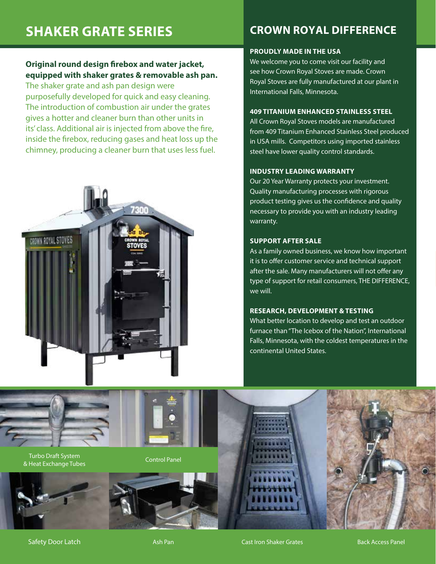### **Original round design firebox and water jacket, equipped with shaker grates & removable ash pan.**

The shaker grate and ash pan design were purposefully developed for quick and easy cleaning. The introduction of combustion air under the grates gives a hotter and cleaner burn than other units in its' class. Additional air is injected from above the fire, inside the firebox, reducing gases and heat loss up the chimney, producing a cleaner burn that uses less fuel.



#### **PROUDLY MADE IN THE USA**

We welcome you to come visit our facility and see how Crown Royal Stoves are made. Crown Royal Stoves are fully manufactured at our plant in International Falls, Minnesota.

#### **409 TITANIUM ENHANCED STAINLESS STEEL**

All Crown Royal Stoves models are manufactured from 409 Titanium Enhanced Stainless Steel produced in USA mills. Competitors using imported stainless steel have lower quality control standards.

#### **INDUSTRY LEADING WARRANTY**

Our 20 Year Warranty protects your investment. Quality manufacturing processes with rigorous product testing gives us the confidence and quality necessary to provide you with an industry leading warranty.

#### **SUPPORT AFTER SALE**

As a family owned business, we know how important it is to offer customer service and technical support after the sale. Many manufacturers will not offer any type of support for retail consumers, THE DIFFERENCE, we will.

#### **RESEARCH, DEVELOPMENT & TESTING**

What better location to develop and test an outdoor furnace than "The Icebox of the Nation", International Falls, Minnesota, with the coldest temperatures in the continental United States.

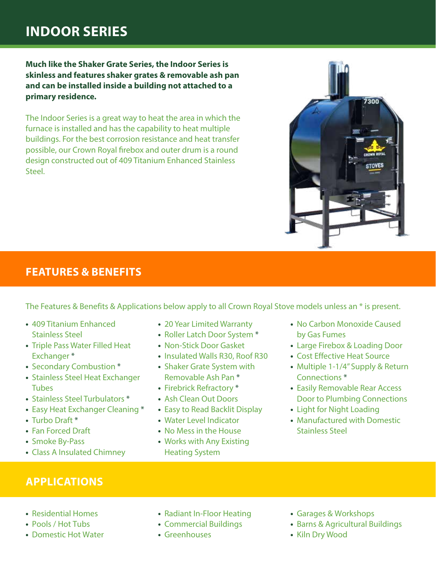## **INDOOR SERIES**

**Much like the Shaker Grate Series, the Indoor Series is skinless and features shaker grates & removable ash pan and can be installed inside a building not attached to a primary residence.**

The Indoor Series is a great way to heat the area in which the furnace is installed and has the capability to heat multiple buildings. For the best corrosion resistance and heat transfer possible, our Crown Royal firebox and outer drum is a round design constructed out of 409 Titanium Enhanced Stainless Steel.



### **FEATURES & BENEFITS**

The Features & Benefits & Applications below apply to all Crown Royal Stove models unless an \* is present.

- **•** 409 Titanium Enhanced Stainless Steel
- **•** Triple Pass Water Filled Heat Exchanger \*
- **•** Secondary Combustion \*
- **•** Stainless Steel Heat Exchanger Tubes
- **•** Stainless Steel Turbulators \*
- **•** Easy Heat Exchanger Cleaning \*
- **•** Turbo Draft \*
- **•** Fan Forced Draft
- **•** Smoke By-Pass
- **•** Class A Insulated Chimney
- **•** 20 Year Limited Warranty
- **•** Roller Latch Door System \*
- **•** Non-Stick Door Gasket
- **•** Insulated Walls R30, Roof R30
- **•** Shaker Grate System with Removable Ash Pan \*
- **•** Firebrick Refractory \*
- **•** Ash Clean Out Doors
- **•** Easy to Read Backlit Display
- **•** Water Level Indicator
- **•** No Mess in the House
- **•** Works with Any Existing Heating System
- **•** No Carbon Monoxide Caused by Gas Fumes
- **•** Large Firebox & Loading Door
- **•** Cost Effective Heat Source
- **•** Multiple 1-1/4" Supply & Return Connections \*
- **•** Easily Removable Rear Access Door to Plumbing Connections
- **•** Light for Night Loading
- **•** Manufactured with Domestic Stainless Steel

- **APPLICATIONS**
- **•** Residential Homes
- **•** Pools / Hot Tubs
- **•** Domestic Hot Water
- **•** Radiant In-Floor Heating
- **•** Commercial Buildings
- **•** Greenhouses
- **•** Garages & Workshops
- **•** Barns & Agricultural Buildings
- **•** Kiln Dry Wood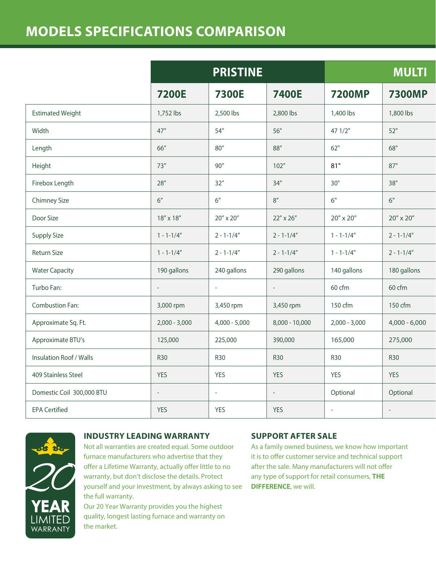## **MODELS SPECIFICATIONS COMPARISON**

|                           | <b>PRISTINE</b>  |                     |                     | <b>MULTI</b>             |                 |
|---------------------------|------------------|---------------------|---------------------|--------------------------|-----------------|
|                           | <b>7200E</b>     | <b>7300E</b>        | <b>7400E</b>        | <b>7200MP</b>            | <b>7300MP</b>   |
| <b>Estimated Weight</b>   | 1,752 lbs        | 2,500 lbs           | 2,800 lbs           | 1,400 lbs                | 1,800 lbs       |
| Width                     | 47''             | 54''                | $56''$              | 471/2"                   | 52"             |
| Length                    | 66"              | $80^{\prime\prime}$ | $88^{\prime\prime}$ | 62"                      | $68"$           |
| Height                    | 73''             | 90''                | 102''               | 81"                      | 87"             |
| Firebox Length            | $28''$           | 32''                | 34''                | 30"                      | $38"$           |
| <b>Chimney Size</b>       | 6''              | 6"                  | $8''$               | 6"                       | 6"              |
| Door Size                 | $18''\times18''$ | $20''\times20''$    | 22" x 26"           | $20" \times 20"$         | 20" x 20"       |
| Supply Size               | $1 - 1 - 1/4''$  | $2 - 1 - 1/4''$     | $2 - 1 - 1/4''$     | $1 - 1 - 1/4"$           | $2 - 1 - 1/4''$ |
| Return Size               | $1 - 1 - 1/4''$  | $2 - 1 - 1/4''$     | $2 - 1 - 1/4''$     | $1 - 1 - 1/4"$           | $2 - 1 - 1/4''$ |
| <b>Water Capacity</b>     | 190 gallons      | 240 gallons         | 290 gallons         | 140 gallons              | 180 gallons     |
| Turbo Fan:                | $\sim$ .         | $\omega$            | $\omega_{\rm c}$    | 60 cfm                   | 60 cfm          |
| Combustion Fan:           | 3,000 rpm        | 3,450 rpm           | 3,450 rpm           | 150 cfm                  | 150 cfm         |
| Approximate Sq. Ft.       | $2,000 - 3,000$  | $4,000 - 5,000$     | 8,000 - 10,000      | $2,000 - 3,000$          | $4,000 - 6,000$ |
| Approximate BTU's         | 125,000          | 225,000             | 390,000             | 165,000                  | 275,000         |
| Insulation Roof / Walls   | <b>R30</b>       | <b>R30</b>          | <b>R30</b>          | <b>R30</b>               | <b>R30</b>      |
| 409 Stainless Steel       | YES              | YES                 | YES                 | YES                      | YES             |
| Domestic Coil 300,000 BTU | $\sim$           | $\sim$              | $\sim$              | Optional                 | Optional        |
| <b>EPA Certified</b>      | YES              | YES                 | YES                 | $\overline{\phantom{a}}$ | $\sim$          |



#### **INDUSTRY LEADING WARRANTY**

Not all warranties are created equal. Some outdoor furnace manufacturers who advertise that they offer a Lifetime Warranty, actually offer little to no warranty, but don't disclose the details. Protect yourself and your investment, by always asking to see the full warranty.

Our 20 Year Warranty provides you the highest quality, longest lasting furnace and warranty on the market.

#### **SUPPORT AFTER SALE**

As a family owned business, we know how important it is to offer customer service and technical support after the sale. Many manufacturers will not offer any type of support for retail consumers, **THE DIFFERENCE**, we will.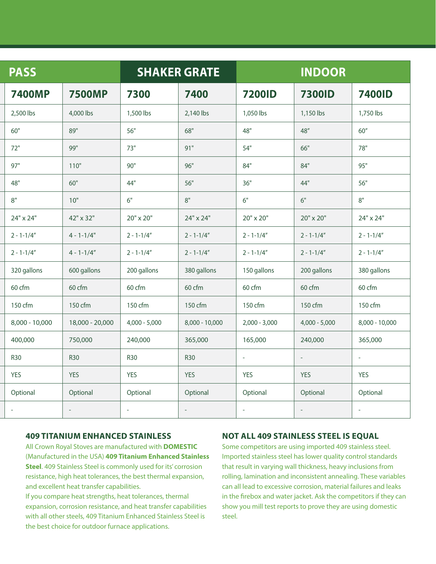| <b>PASS</b>     |                 | <b>SHAKER GRATE</b> |                 | <b>INDOOR</b>   |                  |                |
|-----------------|-----------------|---------------------|-----------------|-----------------|------------------|----------------|
| <b>7400MP</b>   | <b>7500MP</b>   | 7300                | 7400            | <b>7200ID</b>   | <b>7300ID</b>    | <b>7400ID</b>  |
| 2,500 lbs       | 4,000 lbs       | 1,500 lbs           | 2,140 lbs       | 1,050 lbs       | 1,150 lbs        | 1,750 lbs      |
| 60"             | 89"             | 56"                 | 68"             | 48"             | 48''             | $60''$         |
| 72"             | 99"             | 73"                 | 91"             | 54"             | $66"$            | 78"            |
| 97"             | $110"$          | $90"$               | 96"             | 84"             | 84"              | 95"            |
| 48"             | $60"$           | 44"                 | $56"$           | 36"             | 44"              | 56"            |
| $8"$            | 10"             | 6"                  | $8"$            | 6"              | 6"               | $8"$           |
| 24" x 24"       | 42" x 32"       | 20" x 20"           | 24" x 24"       | 20" x 20"       | $20" \times 20"$ | 24" x 24"      |
| $2 - 1 - 1/4''$ | $4 - 1 - 1/4"$  | $2 - 1 - 1/4''$     | $2 - 1 - 1/4"$  | $2 - 1 - 1/4"$  | $2 - 1 - 1/4''$  | $2 - 1 - 1/4"$ |
| $2 - 1 - 1/4''$ | $4 - 1 - 1/4''$ | $2 - 1 - 1/4''$     | $2 - 1 - 1/4''$ | $2 - 1 - 1/4''$ | $2 - 1 - 1/4''$  | $2 - 1 - 1/4"$ |
| 320 gallons     | 600 gallons     | 200 gallons         | 380 gallons     | 150 gallons     | 200 gallons      | 380 gallons    |
| 60 cfm          | 60 cfm          | 60 cfm              | 60 cfm          | 60 cfm          | 60 cfm           | 60 cfm         |
| 150 cfm         | 150 cfm         | 150 cfm             | 150 cfm         | 150 cfm         | 150 cfm          | 150 cfm        |
| 8,000 - 10,000  | 18,000 - 20,000 | $4,000 - 5,000$     | 8,000 - 10,000  | $2,000 - 3,000$ | $4,000 - 5,000$  | 8,000 - 10,000 |
| 400,000         | 750,000         | 240,000             | 365,000         | 165,000         | 240,000          | 365,000        |
| <b>R30</b>      | <b>R30</b>      | <b>R30</b>          | <b>R30</b>      | $\sim$          | $\sim$           | $\sim$         |
| YES             | YES             | YES                 | YES             | YES             | YES              | YES            |
| Optional        | Optional        | Optional            | Optional        | Optional        | Optional         | Optional       |
|                 |                 | $\sim$              | $\sim$          | $\sim$          | $\sim$           | $\sim$         |

#### **409 TITANIUM ENHANCED STAINLESS**

All Crown Royal Stoves are manufactured with **DOMESTIC** (Manufactured in the USA) **409 Titanium Enhanced Stainless Steel**. 409 Stainless Steel is commonly used for its' corrosion resistance, high heat tolerances, the best thermal expansion, and excellent heat transfer capabilities.

If you compare heat strengths, heat tolerances, thermal expansion, corrosion resistance, and heat transfer capabilities with all other steels, 409 Titanium Enhanced Stainless Steel is the best choice for outdoor furnace applications.

#### **NOT ALL 409 STAINLESS STEEL IS EQUAL**

Some competitors are using imported 409 stainless steel. Imported stainless steel has lower quality control standards that result in varying wall thickness, heavy inclusions from rolling, lamination and inconsistent annealing. These variables can all lead to excessive corrosion, material failures and leaks in the firebox and water jacket. Ask the competitors if they can show you mill test reports to prove they are using domestic steel.